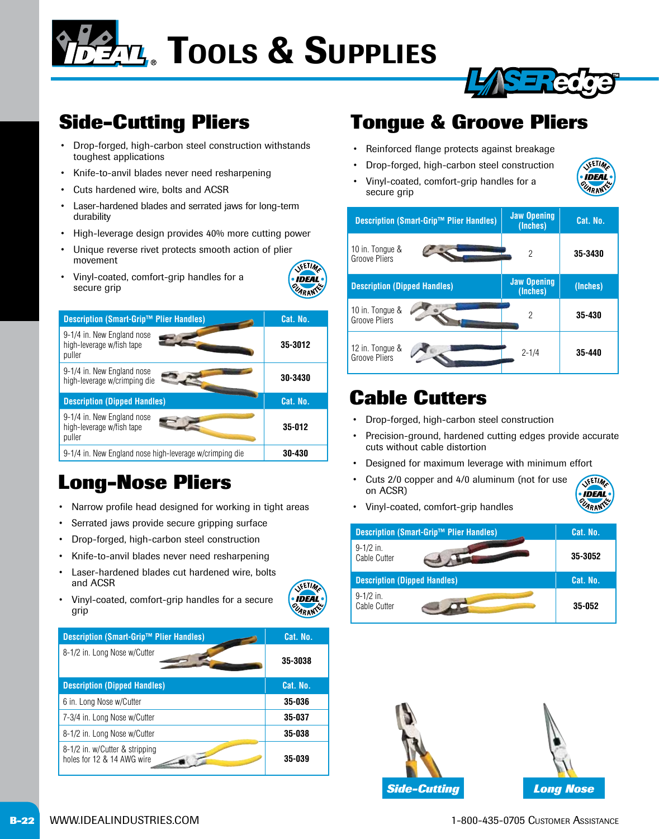**TEM.** TOOLS & SUPPLIES

### **Side-Cutting Pliers**

- Drop-forged, high-carbon steel construction withstands toughest applications
- Knife-to-anvil blades never need resharpening
- Cuts hardened wire, bolts and ACSR
- Laser-hardened blades and serrated jaws for long-term durability
- High-leverage design provides 40% more cutting power
- Unique reverse rivet protects smooth action of plier movement VETIM
- Vinyl-coated, comfort-grip handles for a secure grip

| <b>Description (Smart-Grip™ Plier Handles)</b>                    | Cat. No. |
|-------------------------------------------------------------------|----------|
| 9-1/4 in. New England nose<br>high-leverage w/fish tape<br>puller | 35-3012  |
| 9-1/4 in. New England nose<br>high-leverage w/crimping die        | 30-3430  |
| <b>Description (Dipped Handles)</b>                               | Cat. No. |
| 9-1/4 in. New England nose<br>high-leverage w/fish tape<br>puller | 35-012   |
| 9-1/4 in. New England nose high-leverage w/crimping die           | 30-430   |

### **Long-Nose Pliers**

- Narrow profile head designed for working in tight areas
- Serrated jaws provide secure gripping surface
- Drop-forged, high-carbon steel construction
- Knife-to-anvil blades never need resharpening
- Laser-hardened blades cut hardened wire, bolts and ACSR

• Vinyl-coated, comfort-grip handles for a secure

VETIM **IDEAL** UARANY

**IDEAL** UARANT

| <b>Description (Smart-Grip™ Plier Handles)</b>               | Cat. No. |
|--------------------------------------------------------------|----------|
| 8-1/2 in. Long Nose w/Cutter                                 | 35-3038  |
| <b>Description (Dipped Handles)</b>                          | Cat. No. |
| 6 in. Long Nose w/Cutter                                     | 35-036   |
| 7-3/4 in. Long Nose w/Cutter                                 | 35-037   |
| 8-1/2 in. Long Nose w/Cutter                                 | 35-038   |
| 8-1/2 in. w/Cutter & stripping<br>holes for 12 & 14 AWG wire | 35-039   |

### **Tongue & Groove Pliers**

- Reinforced flange protects against breakage
- Drop-forged, high-carbon steel construction
- Vinyl-coated, comfort-grip handles for a secure grip



Sareda



### **Cable Cutters**

- Drop-forged, high-carbon steel construction
- Precision-ground, hardened cutting edges provide accurate cuts without cable distortion
- Designed for maximum leverage with minimum effort
- Cuts 2/0 copper and 4/0 aluminum (not for use on ACSR)



• Vinyl-coated, comfort-grip handles

| <b>Description (Smart-Grip™ Plier Handles)</b> |  | Cat. No. |
|------------------------------------------------|--|----------|
| $9-1/2$ in.<br>Cable Cutter                    |  | 35-3052  |
| <b>Description (Dipped Handles)</b>            |  | Cat. No. |
| $9-1/2$ in.<br>Cable Cutter                    |  | 35-052   |





grip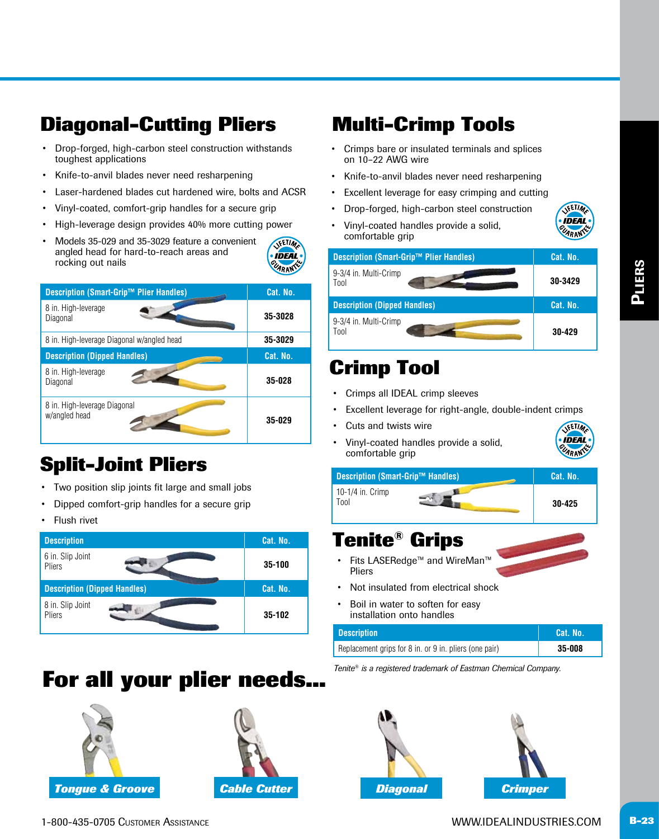### **Diagonal-Cutting Pliers**

- Drop-forged, high-carbon steel construction withstands toughest applications
- Knife-to-anvil blades never need resharpening
- Laser-hardened blades cut hardened wire, bolts and ACSR
- Vinyl-coated, comfort-grip handles for a secure grip
- High-leverage design provides 40% more cutting power
- Models 35-029 and 35-3029 feature a convenient angled head for hard-to-reach areas and rocking out nails



| <b>Description (Smart-Grip™ Plier Handles)</b> | Cat. No. |
|------------------------------------------------|----------|
| 8 in. High-leverage<br>Diagonal                | 35-3028  |
| 8 in. High-leverage Diagonal w/angled head     | 35-3029  |
| <b>Description (Dipped Handles)</b>            | Cat. No. |
| 8 in. High-leverage<br>Diagonal                | 35-028   |
| 8 in. High-leverage Diagonal<br>w/angled head  | 35-029   |

### **Split-Joint Pliers**

- Two position slip joints fit large and small jobs
- Dipped comfort-grip handles for a secure grip
- **Flush rivet**

| <b>Description</b>                  | Cat. No. |
|-------------------------------------|----------|
| 6 in. Slip Joint<br>Pliers          | 35-100   |
| <b>Description (Dipped Handles)</b> | Cat. No. |
| 8 in. Slip Joint<br>Pliers          | 35-102   |

### **For all your plier needs...** Tenite® is a registered trademark of Eastman Chemical Company.





### **Multi-Crimp Tools**

- Crimps bare or insulated terminals and splices on 10–22 AWG wire
- Knife-to-anvil blades never need resharpening
- Excellent leverage for easy crimping and cutting
- Drop-forged, high-carbon steel construction
- Vinyl-coated handles provide a solid, comfortable grip



| <b>Description (Smart-Grip™ Plier Handles)</b> | Cat. No. |
|------------------------------------------------|----------|
| 9-3/4 in. Multi-Crimp<br>Tool                  | 30-3429  |
| <b>Description (Dipped Handles)</b>            | Cat. No. |
| 9-3/4 in. Multi-Crimp<br>Tool                  | 30-429   |

### **Crimp Tool**

- Crimps all IDEAL crimp sleeves
- Excellent leverage for right-angle, double-indent crimps
- Cuts and twists wire
- Vinyl-coated handles provide a solid, comfortable grip



| <b>Description (Smart-Grip™ Handles)</b> | Cat. No. |
|------------------------------------------|----------|
|                                          |          |

10-1/4 in. Crimp Tool **30-425**

### **Tenite® Grips**

- • Fits LASERedge™ and WireMan™ Pliers
- Not insulated from electrical shock
- Boil in water to soften for easy installation onto handles

| <b>Description</b>                                     | <b>Cat. No.</b> |
|--------------------------------------------------------|-----------------|
| Replacement grips for 8 in. or 9 in. pliers (one pair) | 35-008          |



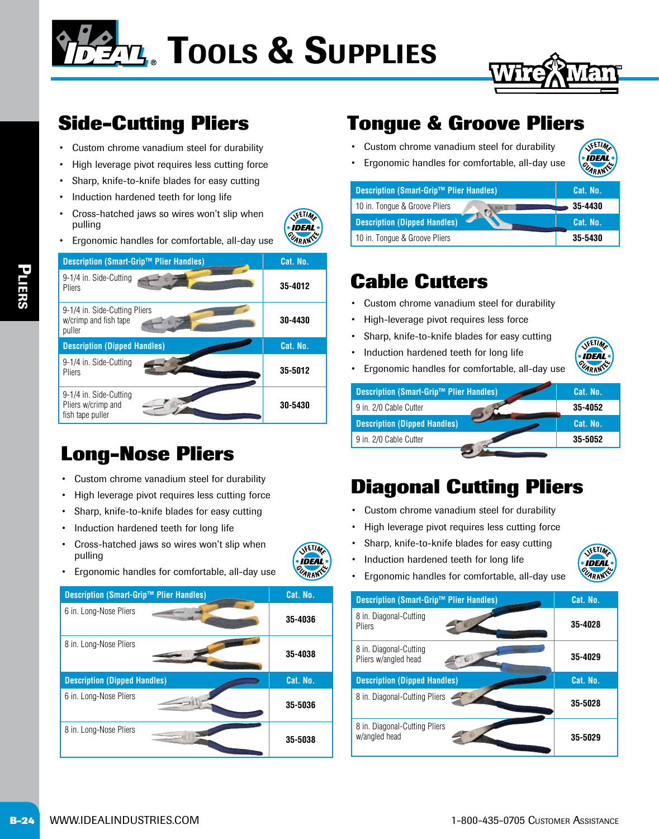# **TEM.** TOOLS & SUPPLIES



### **Side-Cutting Pliers**

- Custom chrome vanadium steel for durability
- High leverage pivot requires less cutting force
- Sharp, knife-to-knife blades for easy cutting
- Induction hardened teeth for long life
- Cross-hatched jaws so wires won't slip when pulling
- Ergonomic handles for comfortable, all-day use

| <b>Description (Smart-Grip™ Plier Handles)</b>                   | Cat. No. |
|------------------------------------------------------------------|----------|
| 9-1/4 in. Side-Cutting<br>Pliers                                 | 35-4012  |
| 9-1/4 in. Side-Cutting Pliers<br>w/crimp and fish tape<br>puller | 30-4430  |
| <b>Description (Dipped Handles)</b>                              | Cat. No. |
| 9-1/4 in. Side-Cutting<br>Pliers                                 | 35-5012  |
| 9-1/4 in. Side-Cutting<br>Pliers w/crimp and<br>fish tape puller | 30-5430  |

### **Long-Nose Pliers**

- Custom chrome vanadium steel for durability
- High leverage pivot requires less cutting force
- Sharp, knife-to-knife blades for easy cutting
- Induction hardened teeth for long life
- Cross-hatched jaws so wires won't slip when pulling



**VETIM IDEAL** UARANT

• Ergonomic handles for comfortable, all-day use



### **Tongue & Groove Pliers**

- Custom chrome vanadium steel for durability
- Ergonomic handles for comfortable, all-day use

| Description (Smart-Grip™ Plier Handles) | 'Cat. No. |
|-----------------------------------------|-----------|
| 10 in. Tonque & Groove Pliers           | 35-4430   |
| <b>Description (Dipped Handles)</b>     | Cat. No.  |
| 10 in. Tonque & Groove Pliers           | 35-5430   |

### **Cable Cutters**

- Custom chrome vanadium steel for durability
- High-leverage pivot requires less force
- Sharp, knife-to-knife blades for easy cutting
- Induction hardened teeth for long life



VETIM **IDEAL UARANS** 

• Ergonomic handles for comfortable, all-day use

| Description (Smart-Grip™ Plier Handles) | Cat. No. |
|-----------------------------------------|----------|
| 9 in. 2/0 Cable Cutter                  | 35-4052  |
| <b>Description (Dipped Handles)</b>     | Cat. No. |
| 9 in. 2/0 Cable Cutter                  | 35-5052  |
|                                         |          |

### **Diagonal Cutting Pliers**

- Custom chrome vanadium steel for durability
- High leverage pivot requires less cutting force
- Sharp, knife-to-knife blades for easy cutting
- Induction hardened teeth for long life



• Ergonomic handles for comfortable, all-day use

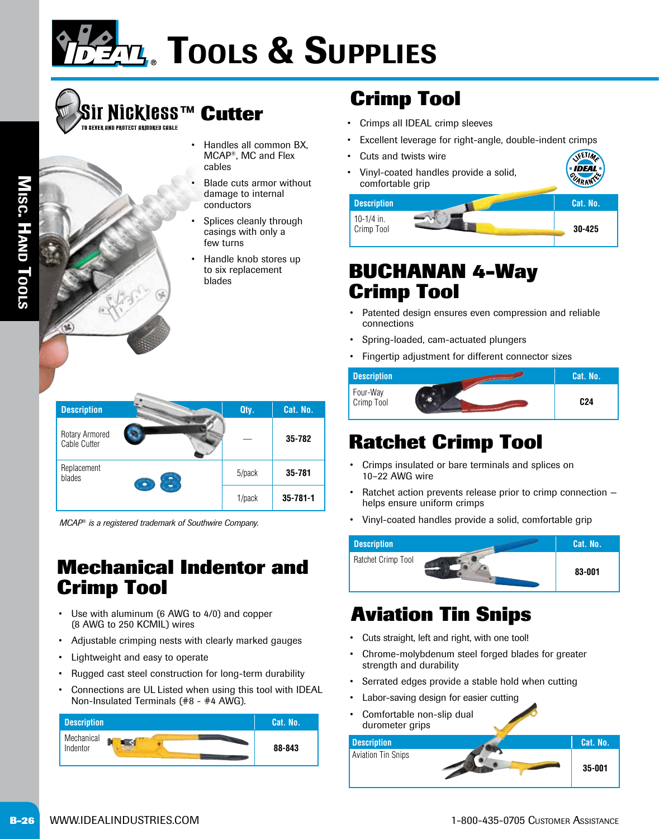

## **Sir Nickless™ Cutter**

Misc. Hand Tools IISC. M AND LOOLS

- Handles all common BX, MCAP®, MC and Flex cables
	- Blade cuts armor without damage to internal conductors
	- Splices cleanly through casings with only a few turns
	- Handle knob stores up to six replacement blades

| <b>Description</b>             |        | Qty.           | Cat. No.   |
|--------------------------------|--------|----------------|------------|
| Rotary Armored<br>Cable Cutter |        |                | 35-782     |
| Replacement<br>blades          |        | 5/pack         | $35 - 781$ |
|                                | 1/pack | $35 - 781 - 1$ |            |

*MCAP® is a registered trademark of Southwire Company.*

### **Mechanical Indentor and Crimp Tool**

- Use with aluminum (6 AWG to 4/0) and copper (8 AWG to 250 KCMIL) wires
- Adjustable crimping nests with clearly marked gauges
- Lightweight and easy to operate
- Rugged cast steel construction for long-term durability
- Connections are UL Listed when using this tool with IDEAL Non-Insulated Terminals (#8 - #4 AWG).



### **Crimp Tool**

- Crimps all IDEAL crimp sleeves
- Excellent leverage for right-angle, double-indent crimps
- Cuts and twists wire
- Vinyl-coated handles provide a solid, comfortable grip

| <b>Description</b>       | Cat. No. |
|--------------------------|----------|
| 10-1/4 in.<br>Crimp Tool | 30-425   |

**VETIM IDEAL CLARANT** 

### **BUCHANAN 4-Way Crimp Tool**

- Patented design ensures even compression and reliable connections
- Spring-loaded, cam-actuated plungers
- Fingertip adjustment for different connector sizes



### **Ratchet Crimp Tool**

- Crimps insulated or bare terminals and splices on 10–22 AWG wire
- Ratchet action prevents release prior to crimp connection helps ensure uniform crimps
- Vinyl-coated handles provide a solid, comfortable grip



### **Aviation Tin Snips**

- Cuts straight, left and right, with one tool!
- Chrome-molybdenum steel forged blades for greater strength and durability
- Serrated edges provide a stable hold when cutting
- Labor-saving design for easier cutting
- Comfortable non-slip dual

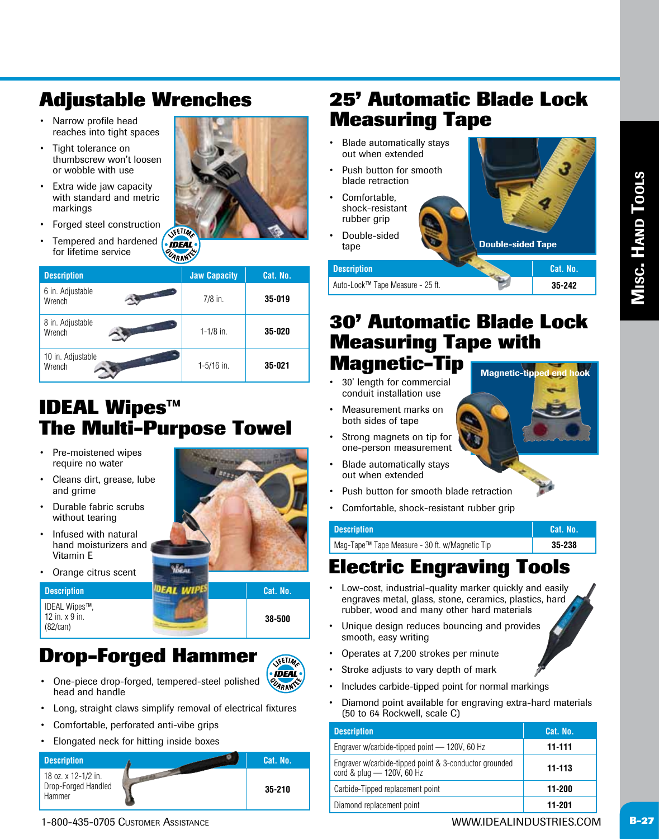### **Adjustable Wrenches**

- Narrow profile head reaches into tight spaces
- Tight tolerance on thumbscrew won't loosen or wobble with use
- Extra wide jaw capacity with standard and metric markings
- Forged steel construction
- Tempered and hardened for lifetime service

| <b>NETIMA</b> |  |  |
|---------------|--|--|

| <b>Description</b>          | <b>Jaw Capacity</b> | Cat. No. |
|-----------------------------|---------------------|----------|
| 6 in. Adjustable<br>Wrench  | $7/8$ in.           | 35-019   |
| 8 in. Adjustable<br>Wrench  | $1 - 1/8$ in.       | 35-020   |
| 10 in. Adjustable<br>Wrench | $1 - 5/16$ in.      | 35-021   |

### **IDEAL Wipes™ The Multi-Purpose Towel**

- Pre-moistened wipes require no water
- Cleans dirt, grease, lube and grime
- Durable fabric scrubs without tearing
- Infused with natural hand moisturizers and Vitamin E
- Orange citrus scent

IDEAL Wipes™,

12 in. x 9 in. (82/can)



**Drop-Forged Hammer**



**38-500**

- One-piece drop-forged, tempered-steel polished head and handle
- Long, straight claws simplify removal of electrical fixtures
- Comfortable, perforated anti-vibe grips
- Elongated neck for hitting inside boxes



### **25' Automatic Blade Lock Measuring Tape**

- Blade automatically stays out when extended
- Push button for smooth blade retraction
- Comfortable. shock-resistant rubber grip
- Double-sided tape



Auto-Lock™ Tape Measure - 25 ft. **35-242**

#### **30' Automatic Blade Lock Measuring Tape with Magnetic-Tip** Magnetic-tipped end hook

- 30' length for commercial conduit installation use
- Measurement marks on both sides of tape
- Strong magnets on tip for one-person measurement
- Blade automatically stays out when extended
- Push button for smooth blade retraction
- Comfortable, shock-resistant rubber grip

| <b>Description</b>                             | <b>Cat. No.</b> |
|------------------------------------------------|-----------------|
| Mag-Tape™ Tape Measure - 30 ft. w/Magnetic Tip | 35-238          |

### **Electric Engraving Tools**

- Low-cost, industrial-quality marker quickly and easily engraves metal, glass, stone, ceramics, plastics, hard rubber, wood and many other hard materials
- Unique design reduces bouncing and provides smooth, easy writing
- Operates at 7,200 strokes per minute
- Stroke adjusts to vary depth of mark
- • Includes carbide-tipped point for normal markings
- Diamond point available for engraving extra-hard materials (50 to 64 Rockwell, scale C)

| <b>Description</b>                                                                  | Cat. No.   |
|-------------------------------------------------------------------------------------|------------|
| Engraver w/carbide-tipped point - 120V, 60 Hz                                       | $11 - 111$ |
| Engraver w/carbide-tipped point & 3-conductor grounded<br>cord & plug - 120V, 60 Hz | 11-113     |
| Carbide-Tipped replacement point                                                    | 11-200     |
| Diamond replacement point                                                           | 11-201     |
|                                                                                     |            |

1-800-435-0705 Customer Assistance WWW.IDEALINDUSTRIES.COM **B-27**